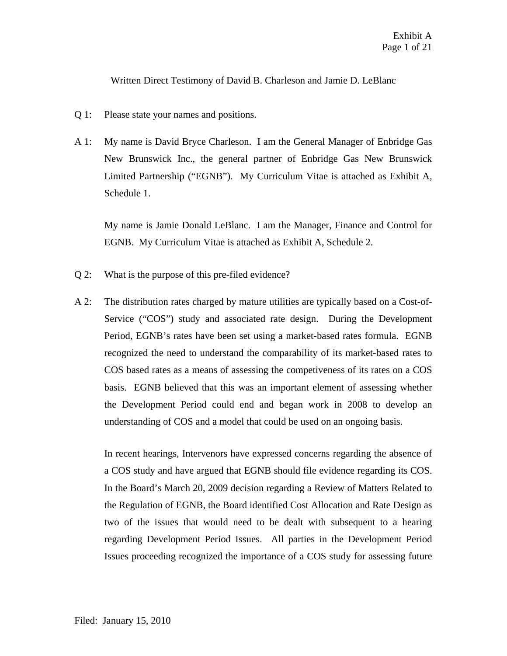Written Direct Testimony of David B. Charleson and Jamie D. LeBlanc

- Q 1: Please state your names and positions.
- A 1: My name is David Bryce Charleson. I am the General Manager of Enbridge Gas New Brunswick Inc., the general partner of Enbridge Gas New Brunswick Limited Partnership ("EGNB"). My Curriculum Vitae is attached as Exhibit A, Schedule 1.

My name is Jamie Donald LeBlanc. I am the Manager, Finance and Control for EGNB. My Curriculum Vitae is attached as Exhibit A, Schedule 2.

- Q 2: What is the purpose of this pre-filed evidence?
- A 2: The distribution rates charged by mature utilities are typically based on a Cost-of-Service ("COS") study and associated rate design. During the Development Period, EGNB's rates have been set using a market-based rates formula. EGNB recognized the need to understand the comparability of its market-based rates to COS based rates as a means of assessing the competiveness of its rates on a COS basis. EGNB believed that this was an important element of assessing whether the Development Period could end and began work in 2008 to develop an understanding of COS and a model that could be used on an ongoing basis.

In recent hearings, Intervenors have expressed concerns regarding the absence of a COS study and have argued that EGNB should file evidence regarding its COS. In the Board's March 20, 2009 decision regarding a Review of Matters Related to the Regulation of EGNB, the Board identified Cost Allocation and Rate Design as two of the issues that would need to be dealt with subsequent to a hearing regarding Development Period Issues. All parties in the Development Period Issues proceeding recognized the importance of a COS study for assessing future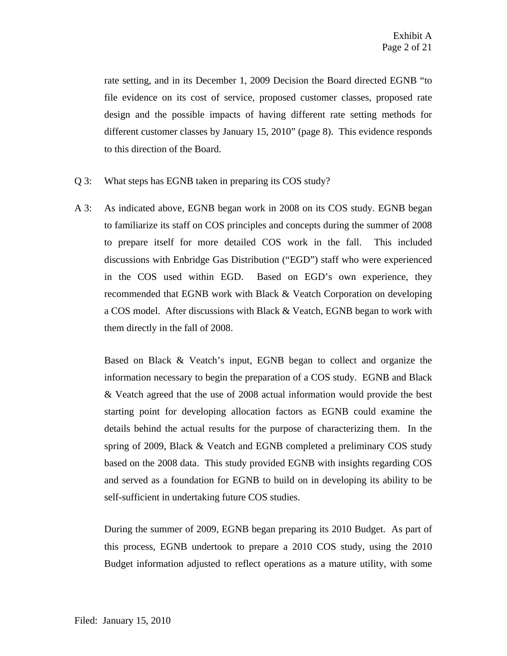rate setting, and in its December 1, 2009 Decision the Board directed EGNB "to file evidence on its cost of service, proposed customer classes, proposed rate design and the possible impacts of having different rate setting methods for different customer classes by January 15, 2010" (page 8). This evidence responds to this direction of the Board.

- Q 3: What steps has EGNB taken in preparing its COS study?
- A 3: As indicated above, EGNB began work in 2008 on its COS study. EGNB began to familiarize its staff on COS principles and concepts during the summer of 2008 to prepare itself for more detailed COS work in the fall. This included discussions with Enbridge Gas Distribution ("EGD") staff who were experienced in the COS used within EGD. Based on EGD's own experience, they recommended that EGNB work with Black & Veatch Corporation on developing a COS model. After discussions with Black & Veatch, EGNB began to work with them directly in the fall of 2008.

Based on Black & Veatch's input, EGNB began to collect and organize the information necessary to begin the preparation of a COS study. EGNB and Black & Veatch agreed that the use of 2008 actual information would provide the best starting point for developing allocation factors as EGNB could examine the details behind the actual results for the purpose of characterizing them. In the spring of 2009, Black & Veatch and EGNB completed a preliminary COS study based on the 2008 data. This study provided EGNB with insights regarding COS and served as a foundation for EGNB to build on in developing its ability to be self-sufficient in undertaking future COS studies.

During the summer of 2009, EGNB began preparing its 2010 Budget. As part of this process, EGNB undertook to prepare a 2010 COS study, using the 2010 Budget information adjusted to reflect operations as a mature utility, with some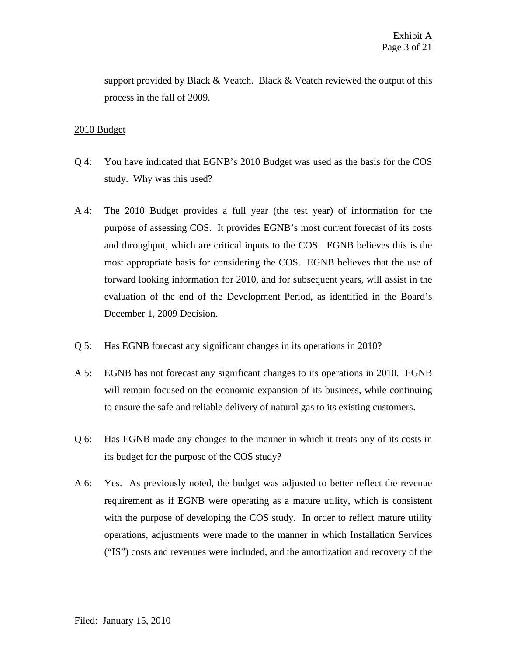support provided by Black & Veatch. Black & Veatch reviewed the output of this process in the fall of 2009.

## 2010 Budget

- Q 4: You have indicated that EGNB's 2010 Budget was used as the basis for the COS study. Why was this used?
- A 4: The 2010 Budget provides a full year (the test year) of information for the purpose of assessing COS. It provides EGNB's most current forecast of its costs and throughput, which are critical inputs to the COS. EGNB believes this is the most appropriate basis for considering the COS. EGNB believes that the use of forward looking information for 2010, and for subsequent years, will assist in the evaluation of the end of the Development Period, as identified in the Board's December 1, 2009 Decision.
- Q 5: Has EGNB forecast any significant changes in its operations in 2010?
- A 5: EGNB has not forecast any significant changes to its operations in 2010. EGNB will remain focused on the economic expansion of its business, while continuing to ensure the safe and reliable delivery of natural gas to its existing customers.
- Q 6: Has EGNB made any changes to the manner in which it treats any of its costs in its budget for the purpose of the COS study?
- A 6: Yes. As previously noted, the budget was adjusted to better reflect the revenue requirement as if EGNB were operating as a mature utility, which is consistent with the purpose of developing the COS study. In order to reflect mature utility operations, adjustments were made to the manner in which Installation Services ("IS") costs and revenues were included, and the amortization and recovery of the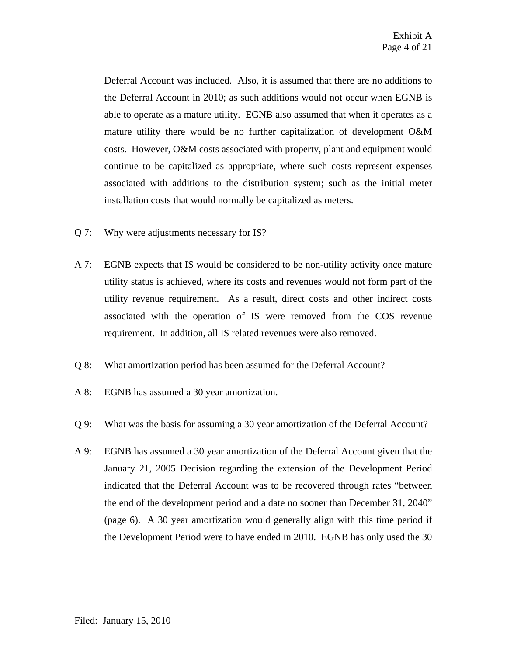Deferral Account was included. Also, it is assumed that there are no additions to the Deferral Account in 2010; as such additions would not occur when EGNB is able to operate as a mature utility. EGNB also assumed that when it operates as a mature utility there would be no further capitalization of development O&M costs. However, O&M costs associated with property, plant and equipment would continue to be capitalized as appropriate, where such costs represent expenses associated with additions to the distribution system; such as the initial meter installation costs that would normally be capitalized as meters.

- Q 7: Why were adjustments necessary for IS?
- A 7: EGNB expects that IS would be considered to be non-utility activity once mature utility status is achieved, where its costs and revenues would not form part of the utility revenue requirement. As a result, direct costs and other indirect costs associated with the operation of IS were removed from the COS revenue requirement. In addition, all IS related revenues were also removed.
- Q 8: What amortization period has been assumed for the Deferral Account?
- A 8: EGNB has assumed a 30 year amortization.
- Q 9: What was the basis for assuming a 30 year amortization of the Deferral Account?
- A 9: EGNB has assumed a 30 year amortization of the Deferral Account given that the January 21, 2005 Decision regarding the extension of the Development Period indicated that the Deferral Account was to be recovered through rates "between the end of the development period and a date no sooner than December 31, 2040" (page 6). A 30 year amortization would generally align with this time period if the Development Period were to have ended in 2010. EGNB has only used the 30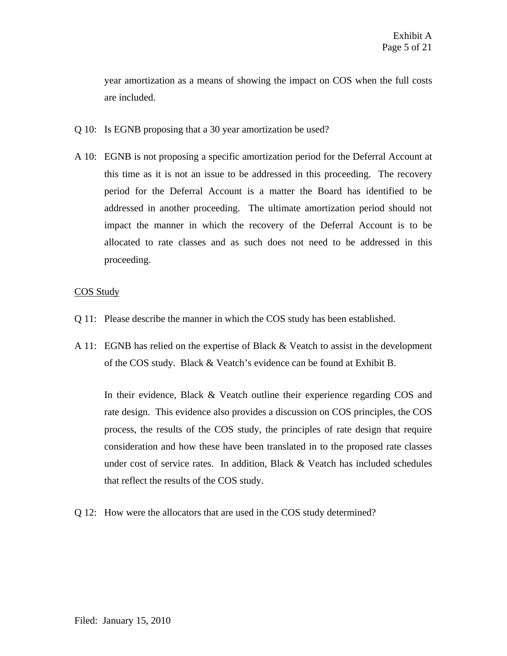year amortization as a means of showing the impact on COS when the full costs are included.

- Q 10: Is EGNB proposing that a 30 year amortization be used?
- A 10: EGNB is not proposing a specific amortization period for the Deferral Account at this time as it is not an issue to be addressed in this proceeding. The recovery period for the Deferral Account is a matter the Board has identified to be addressed in another proceeding. The ultimate amortization period should not impact the manner in which the recovery of the Deferral Account is to be allocated to rate classes and as such does not need to be addressed in this proceeding.

## COS Study

- Q 11: Please describe the manner in which the COS study has been established.
- A 11: EGNB has relied on the expertise of Black & Veatch to assist in the development of the COS study. Black & Veatch's evidence can be found at Exhibit B.

In their evidence, Black & Veatch outline their experience regarding COS and rate design. This evidence also provides a discussion on COS principles, the COS process, the results of the COS study, the principles of rate design that require consideration and how these have been translated in to the proposed rate classes under cost of service rates. In addition, Black  $&$  Veatch has included schedules that reflect the results of the COS study.

Q 12: How were the allocators that are used in the COS study determined?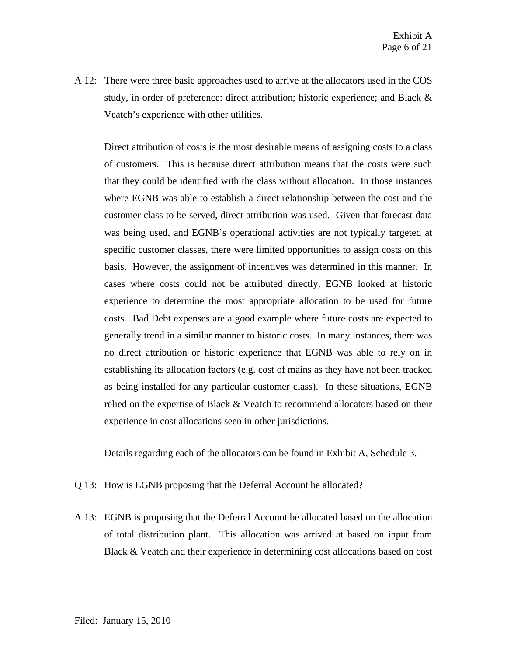A 12: There were three basic approaches used to arrive at the allocators used in the COS study, in order of preference: direct attribution; historic experience; and Black & Veatch's experience with other utilities.

Direct attribution of costs is the most desirable means of assigning costs to a class of customers. This is because direct attribution means that the costs were such that they could be identified with the class without allocation. In those instances where EGNB was able to establish a direct relationship between the cost and the customer class to be served, direct attribution was used. Given that forecast data was being used, and EGNB's operational activities are not typically targeted at specific customer classes, there were limited opportunities to assign costs on this basis. However, the assignment of incentives was determined in this manner. In cases where costs could not be attributed directly, EGNB looked at historic experience to determine the most appropriate allocation to be used for future costs. Bad Debt expenses are a good example where future costs are expected to generally trend in a similar manner to historic costs. In many instances, there was no direct attribution or historic experience that EGNB was able to rely on in establishing its allocation factors (e.g. cost of mains as they have not been tracked as being installed for any particular customer class). In these situations, EGNB relied on the expertise of Black & Veatch to recommend allocators based on their experience in cost allocations seen in other jurisdictions.

Details regarding each of the allocators can be found in Exhibit A, Schedule 3.

- Q 13: How is EGNB proposing that the Deferral Account be allocated?
- A 13: EGNB is proposing that the Deferral Account be allocated based on the allocation of total distribution plant. This allocation was arrived at based on input from Black & Veatch and their experience in determining cost allocations based on cost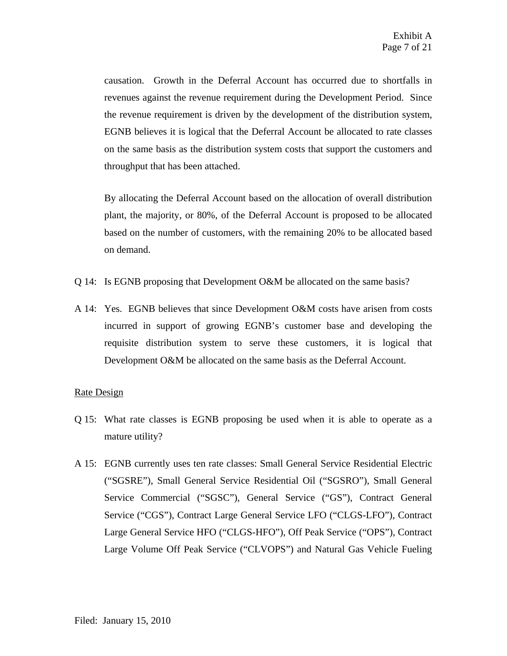causation. Growth in the Deferral Account has occurred due to shortfalls in revenues against the revenue requirement during the Development Period. Since the revenue requirement is driven by the development of the distribution system, EGNB believes it is logical that the Deferral Account be allocated to rate classes on the same basis as the distribution system costs that support the customers and throughput that has been attached.

By allocating the Deferral Account based on the allocation of overall distribution plant, the majority, or 80%, of the Deferral Account is proposed to be allocated based on the number of customers, with the remaining 20% to be allocated based on demand.

- Q 14: Is EGNB proposing that Development O&M be allocated on the same basis?
- A 14: Yes. EGNB believes that since Development O&M costs have arisen from costs incurred in support of growing EGNB's customer base and developing the requisite distribution system to serve these customers, it is logical that Development O&M be allocated on the same basis as the Deferral Account.

## Rate Design

- Q 15: What rate classes is EGNB proposing be used when it is able to operate as a mature utility?
- A 15: EGNB currently uses ten rate classes: Small General Service Residential Electric ("SGSRE"), Small General Service Residential Oil ("SGSRO"), Small General Service Commercial ("SGSC"), General Service ("GS"), Contract General Service ("CGS"), Contract Large General Service LFO ("CLGS-LFO"), Contract Large General Service HFO ("CLGS-HFO"), Off Peak Service ("OPS"), Contract Large Volume Off Peak Service ("CLVOPS") and Natural Gas Vehicle Fueling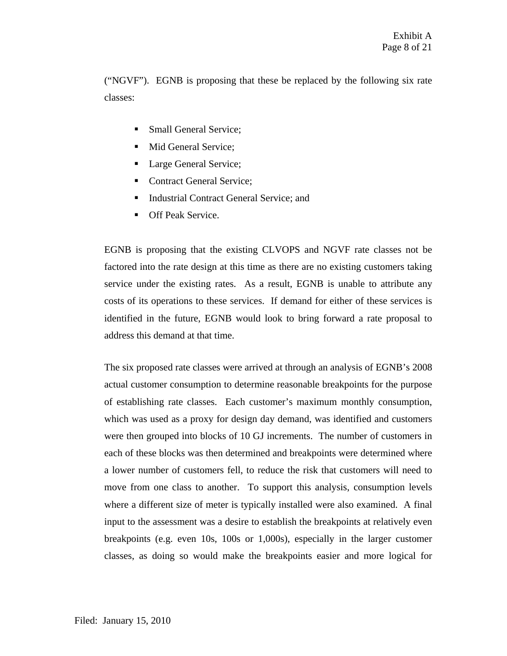("NGVF"). EGNB is proposing that these be replaced by the following six rate classes:

- Small General Service;
- Mid General Service;
- Large General Service;
- Contract General Service;
- Industrial Contract General Service; and
- Off Peak Service.

EGNB is proposing that the existing CLVOPS and NGVF rate classes not be factored into the rate design at this time as there are no existing customers taking service under the existing rates. As a result, EGNB is unable to attribute any costs of its operations to these services. If demand for either of these services is identified in the future, EGNB would look to bring forward a rate proposal to address this demand at that time.

The six proposed rate classes were arrived at through an analysis of EGNB's 2008 actual customer consumption to determine reasonable breakpoints for the purpose of establishing rate classes. Each customer's maximum monthly consumption, which was used as a proxy for design day demand, was identified and customers were then grouped into blocks of 10 GJ increments. The number of customers in each of these blocks was then determined and breakpoints were determined where a lower number of customers fell, to reduce the risk that customers will need to move from one class to another. To support this analysis, consumption levels where a different size of meter is typically installed were also examined. A final input to the assessment was a desire to establish the breakpoints at relatively even breakpoints (e.g. even 10s, 100s or 1,000s), especially in the larger customer classes, as doing so would make the breakpoints easier and more logical for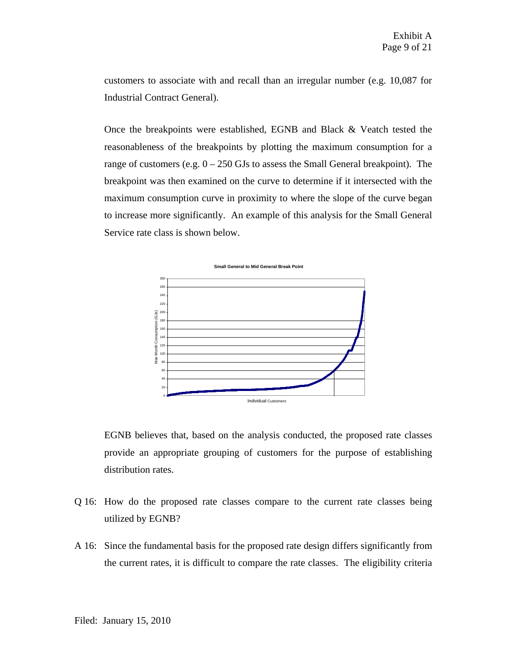customers to associate with and recall than an irregular number (e.g. 10,087 for Industrial Contract General).

Once the breakpoints were established, EGNB and Black & Veatch tested the reasonableness of the breakpoints by plotting the maximum consumption for a range of customers (e.g.  $0 - 250$  GJs to assess the Small General breakpoint). The breakpoint was then examined on the curve to determine if it intersected with the maximum consumption curve in proximity to where the slope of the curve began to increase more significantly. An example of this analysis for the Small General Service rate class is shown below.



EGNB believes that, based on the analysis conducted, the proposed rate classes provide an appropriate grouping of customers for the purpose of establishing distribution rates.

- Q 16: How do the proposed rate classes compare to the current rate classes being utilized by EGNB?
- A 16: Since the fundamental basis for the proposed rate design differs significantly from the current rates, it is difficult to compare the rate classes. The eligibility criteria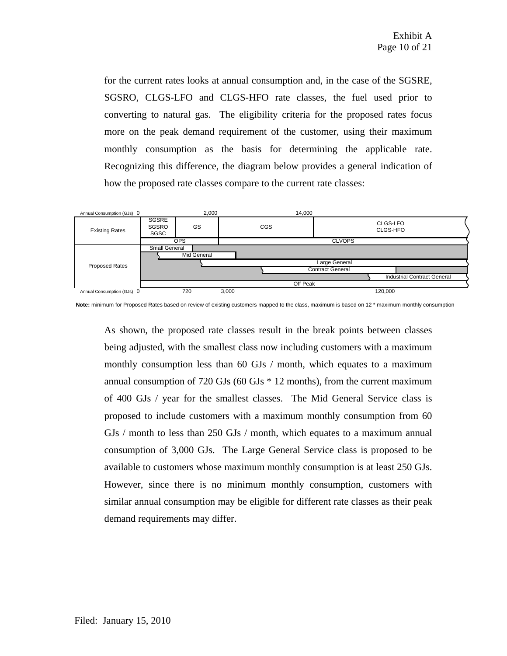for the current rates looks at annual consumption and, in the case of the SGSRE, SGSRO, CLGS-LFO and CLGS-HFO rate classes, the fuel used prior to converting to natural gas. The eligibility criteria for the proposed rates focus more on the peak demand requirement of the customer, using their maximum monthly consumption as the basis for determining the applicable rate. Recognizing this difference, the diagram below provides a general indication of how the proposed rate classes compare to the current rate classes:



**Note:** minimum for Proposed Rates based on review of existing customers mapped to the class, maximum is based on 12 \* maximum monthly consumption

As shown, the proposed rate classes result in the break points between classes being adjusted, with the smallest class now including customers with a maximum monthly consumption less than 60 GJs / month, which equates to a maximum annual consumption of 720 GJs (60 GJs \* 12 months), from the current maximum of 400 GJs / year for the smallest classes. The Mid General Service class is proposed to include customers with a maximum monthly consumption from 60 GJs / month to less than 250 GJs / month, which equates to a maximum annual consumption of 3,000 GJs. The Large General Service class is proposed to be available to customers whose maximum monthly consumption is at least 250 GJs. However, since there is no minimum monthly consumption, customers with similar annual consumption may be eligible for different rate classes as their peak demand requirements may differ.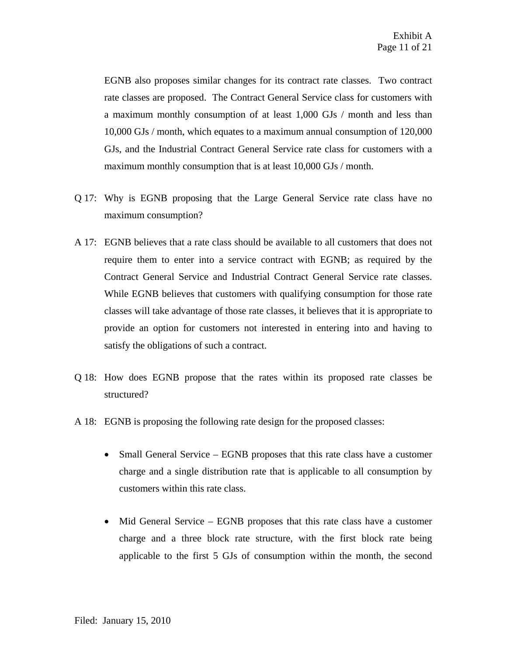EGNB also proposes similar changes for its contract rate classes. Two contract rate classes are proposed. The Contract General Service class for customers with a maximum monthly consumption of at least 1,000 GJs / month and less than 10,000 GJs / month, which equates to a maximum annual consumption of 120,000 GJs, and the Industrial Contract General Service rate class for customers with a maximum monthly consumption that is at least 10,000 GJs / month.

- Q 17: Why is EGNB proposing that the Large General Service rate class have no maximum consumption?
- A 17: EGNB believes that a rate class should be available to all customers that does not require them to enter into a service contract with EGNB; as required by the Contract General Service and Industrial Contract General Service rate classes. While EGNB believes that customers with qualifying consumption for those rate classes will take advantage of those rate classes, it believes that it is appropriate to provide an option for customers not interested in entering into and having to satisfy the obligations of such a contract.
- Q 18: How does EGNB propose that the rates within its proposed rate classes be structured?
- A 18: EGNB is proposing the following rate design for the proposed classes:
	- Small General Service EGNB proposes that this rate class have a customer charge and a single distribution rate that is applicable to all consumption by customers within this rate class.
	- Mid General Service EGNB proposes that this rate class have a customer charge and a three block rate structure, with the first block rate being applicable to the first 5 GJs of consumption within the month, the second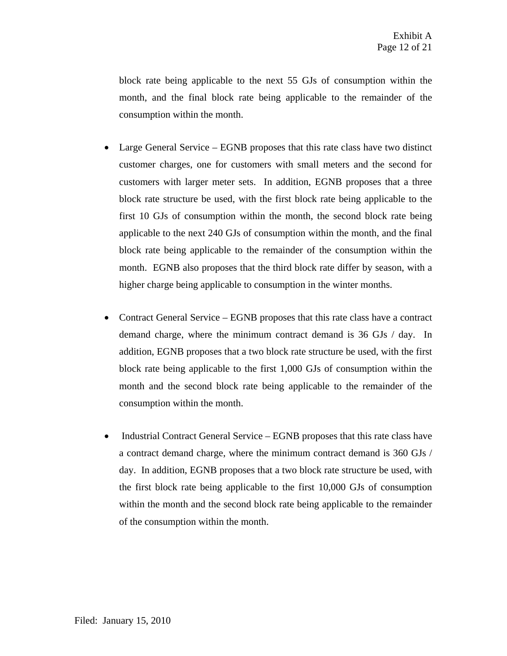block rate being applicable to the next 55 GJs of consumption within the month, and the final block rate being applicable to the remainder of the consumption within the month.

- Large General Service EGNB proposes that this rate class have two distinct customer charges, one for customers with small meters and the second for customers with larger meter sets. In addition, EGNB proposes that a three block rate structure be used, with the first block rate being applicable to the first 10 GJs of consumption within the month, the second block rate being applicable to the next 240 GJs of consumption within the month, and the final block rate being applicable to the remainder of the consumption within the month. EGNB also proposes that the third block rate differ by season, with a higher charge being applicable to consumption in the winter months.
- Contract General Service EGNB proposes that this rate class have a contract demand charge, where the minimum contract demand is 36 GJs / day. In addition, EGNB proposes that a two block rate structure be used, with the first block rate being applicable to the first 1,000 GJs of consumption within the month and the second block rate being applicable to the remainder of the consumption within the month.
- Industrial Contract General Service EGNB proposes that this rate class have a contract demand charge, where the minimum contract demand is 360 GJs / day. In addition, EGNB proposes that a two block rate structure be used, with the first block rate being applicable to the first 10,000 GJs of consumption within the month and the second block rate being applicable to the remainder of the consumption within the month.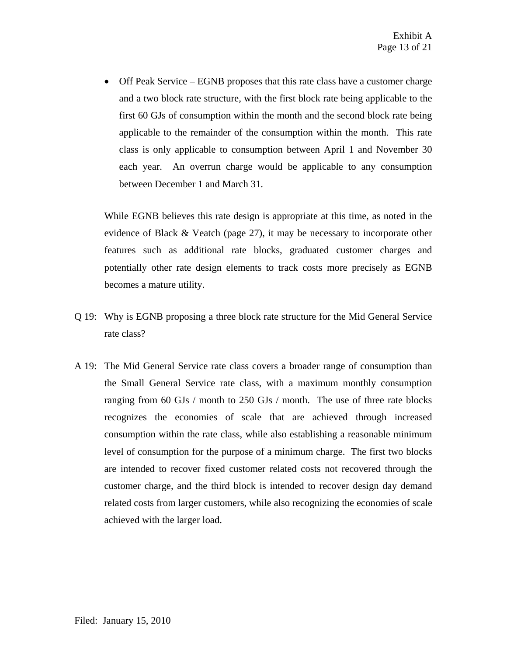• Off Peak Service – EGNB proposes that this rate class have a customer charge and a two block rate structure, with the first block rate being applicable to the first 60 GJs of consumption within the month and the second block rate being applicable to the remainder of the consumption within the month. This rate class is only applicable to consumption between April 1 and November 30 each year. An overrun charge would be applicable to any consumption between December 1 and March 31.

While EGNB believes this rate design is appropriate at this time, as noted in the evidence of Black & Veatch (page 27), it may be necessary to incorporate other features such as additional rate blocks, graduated customer charges and potentially other rate design elements to track costs more precisely as EGNB becomes a mature utility.

- Q 19: Why is EGNB proposing a three block rate structure for the Mid General Service rate class?
- A 19: The Mid General Service rate class covers a broader range of consumption than the Small General Service rate class, with a maximum monthly consumption ranging from 60 GJs / month to 250 GJs / month. The use of three rate blocks recognizes the economies of scale that are achieved through increased consumption within the rate class, while also establishing a reasonable minimum level of consumption for the purpose of a minimum charge. The first two blocks are intended to recover fixed customer related costs not recovered through the customer charge, and the third block is intended to recover design day demand related costs from larger customers, while also recognizing the economies of scale achieved with the larger load.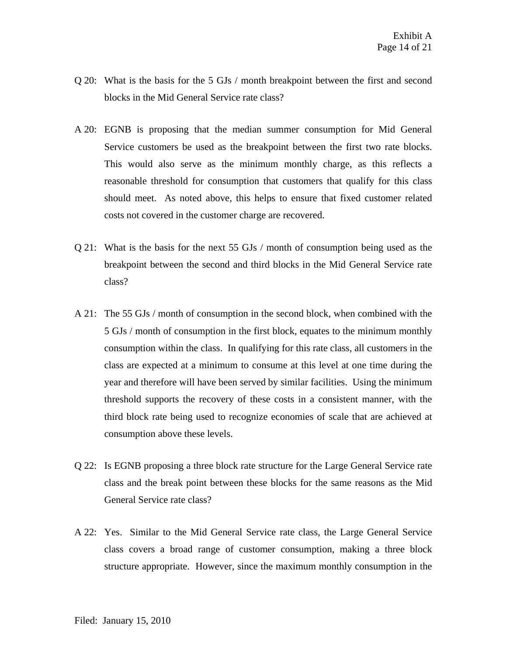- Q 20: What is the basis for the 5 GJs / month breakpoint between the first and second blocks in the Mid General Service rate class?
- A 20: EGNB is proposing that the median summer consumption for Mid General Service customers be used as the breakpoint between the first two rate blocks. This would also serve as the minimum monthly charge, as this reflects a reasonable threshold for consumption that customers that qualify for this class should meet. As noted above, this helps to ensure that fixed customer related costs not covered in the customer charge are recovered.
- Q 21: What is the basis for the next 55 GJs / month of consumption being used as the breakpoint between the second and third blocks in the Mid General Service rate class?
- A 21: The 55 GJs / month of consumption in the second block, when combined with the 5 GJs / month of consumption in the first block, equates to the minimum monthly consumption within the class. In qualifying for this rate class, all customers in the class are expected at a minimum to consume at this level at one time during the year and therefore will have been served by similar facilities. Using the minimum threshold supports the recovery of these costs in a consistent manner, with the third block rate being used to recognize economies of scale that are achieved at consumption above these levels.
- Q 22: Is EGNB proposing a three block rate structure for the Large General Service rate class and the break point between these blocks for the same reasons as the Mid General Service rate class?
- A 22: Yes. Similar to the Mid General Service rate class, the Large General Service class covers a broad range of customer consumption, making a three block structure appropriate. However, since the maximum monthly consumption in the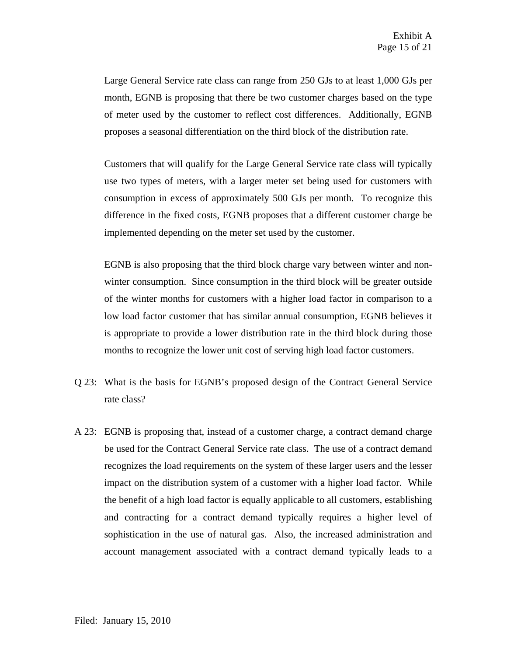Large General Service rate class can range from 250 GJs to at least 1,000 GJs per month, EGNB is proposing that there be two customer charges based on the type of meter used by the customer to reflect cost differences. Additionally, EGNB proposes a seasonal differentiation on the third block of the distribution rate.

Customers that will qualify for the Large General Service rate class will typically use two types of meters, with a larger meter set being used for customers with consumption in excess of approximately 500 GJs per month. To recognize this difference in the fixed costs, EGNB proposes that a different customer charge be implemented depending on the meter set used by the customer.

EGNB is also proposing that the third block charge vary between winter and nonwinter consumption. Since consumption in the third block will be greater outside of the winter months for customers with a higher load factor in comparison to a low load factor customer that has similar annual consumption, EGNB believes it is appropriate to provide a lower distribution rate in the third block during those months to recognize the lower unit cost of serving high load factor customers.

- Q 23: What is the basis for EGNB's proposed design of the Contract General Service rate class?
- A 23: EGNB is proposing that, instead of a customer charge, a contract demand charge be used for the Contract General Service rate class. The use of a contract demand recognizes the load requirements on the system of these larger users and the lesser impact on the distribution system of a customer with a higher load factor. While the benefit of a high load factor is equally applicable to all customers, establishing and contracting for a contract demand typically requires a higher level of sophistication in the use of natural gas. Also, the increased administration and account management associated with a contract demand typically leads to a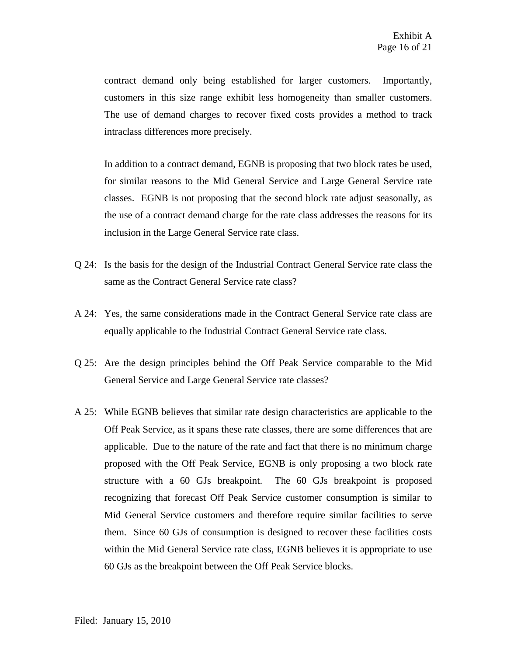contract demand only being established for larger customers. Importantly, customers in this size range exhibit less homogeneity than smaller customers. The use of demand charges to recover fixed costs provides a method to track intraclass differences more precisely.

In addition to a contract demand, EGNB is proposing that two block rates be used, for similar reasons to the Mid General Service and Large General Service rate classes. EGNB is not proposing that the second block rate adjust seasonally, as the use of a contract demand charge for the rate class addresses the reasons for its inclusion in the Large General Service rate class.

- Q 24: Is the basis for the design of the Industrial Contract General Service rate class the same as the Contract General Service rate class?
- A 24: Yes, the same considerations made in the Contract General Service rate class are equally applicable to the Industrial Contract General Service rate class.
- Q 25: Are the design principles behind the Off Peak Service comparable to the Mid General Service and Large General Service rate classes?
- A 25: While EGNB believes that similar rate design characteristics are applicable to the Off Peak Service, as it spans these rate classes, there are some differences that are applicable. Due to the nature of the rate and fact that there is no minimum charge proposed with the Off Peak Service, EGNB is only proposing a two block rate structure with a 60 GJs breakpoint. The 60 GJs breakpoint is proposed recognizing that forecast Off Peak Service customer consumption is similar to Mid General Service customers and therefore require similar facilities to serve them. Since 60 GJs of consumption is designed to recover these facilities costs within the Mid General Service rate class, EGNB believes it is appropriate to use 60 GJs as the breakpoint between the Off Peak Service blocks.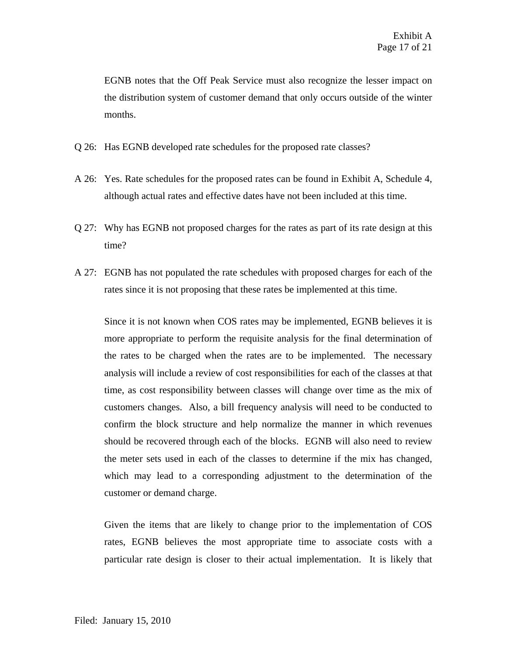EGNB notes that the Off Peak Service must also recognize the lesser impact on the distribution system of customer demand that only occurs outside of the winter months.

- Q 26: Has EGNB developed rate schedules for the proposed rate classes?
- A 26: Yes. Rate schedules for the proposed rates can be found in Exhibit A, Schedule 4, although actual rates and effective dates have not been included at this time.
- Q 27: Why has EGNB not proposed charges for the rates as part of its rate design at this time?
- A 27: EGNB has not populated the rate schedules with proposed charges for each of the rates since it is not proposing that these rates be implemented at this time.

Since it is not known when COS rates may be implemented, EGNB believes it is more appropriate to perform the requisite analysis for the final determination of the rates to be charged when the rates are to be implemented. The necessary analysis will include a review of cost responsibilities for each of the classes at that time, as cost responsibility between classes will change over time as the mix of customers changes. Also, a bill frequency analysis will need to be conducted to confirm the block structure and help normalize the manner in which revenues should be recovered through each of the blocks. EGNB will also need to review the meter sets used in each of the classes to determine if the mix has changed, which may lead to a corresponding adjustment to the determination of the customer or demand charge.

Given the items that are likely to change prior to the implementation of COS rates, EGNB believes the most appropriate time to associate costs with a particular rate design is closer to their actual implementation. It is likely that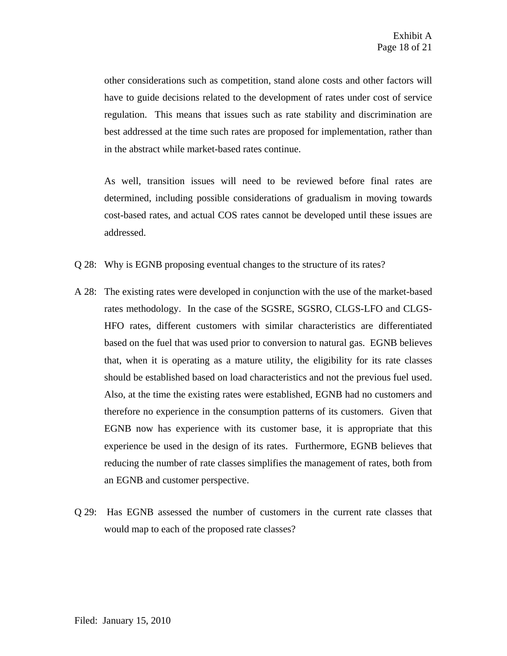other considerations such as competition, stand alone costs and other factors will have to guide decisions related to the development of rates under cost of service regulation. This means that issues such as rate stability and discrimination are best addressed at the time such rates are proposed for implementation, rather than in the abstract while market-based rates continue.

As well, transition issues will need to be reviewed before final rates are determined, including possible considerations of gradualism in moving towards cost-based rates, and actual COS rates cannot be developed until these issues are addressed.

- Q 28: Why is EGNB proposing eventual changes to the structure of its rates?
- A 28: The existing rates were developed in conjunction with the use of the market-based rates methodology. In the case of the SGSRE, SGSRO, CLGS-LFO and CLGS-HFO rates, different customers with similar characteristics are differentiated based on the fuel that was used prior to conversion to natural gas. EGNB believes that, when it is operating as a mature utility, the eligibility for its rate classes should be established based on load characteristics and not the previous fuel used. Also, at the time the existing rates were established, EGNB had no customers and therefore no experience in the consumption patterns of its customers. Given that EGNB now has experience with its customer base, it is appropriate that this experience be used in the design of its rates. Furthermore, EGNB believes that reducing the number of rate classes simplifies the management of rates, both from an EGNB and customer perspective.
- Q 29: Has EGNB assessed the number of customers in the current rate classes that would map to each of the proposed rate classes?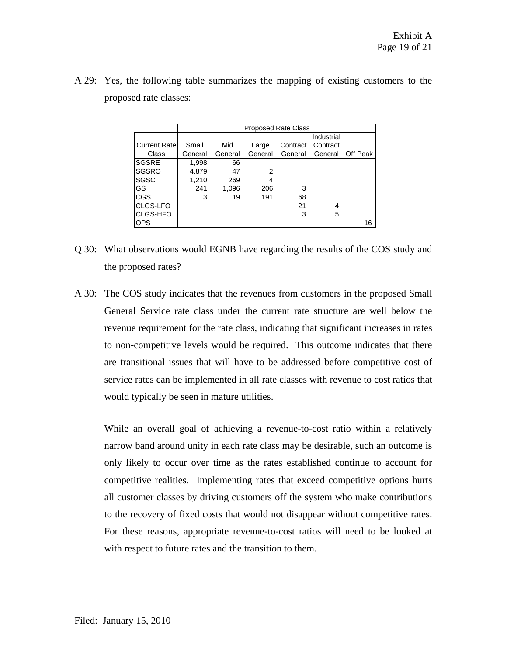|                     | <b>Proposed Rate Class</b> |         |         |          |                 |          |
|---------------------|----------------------------|---------|---------|----------|-----------------|----------|
|                     |                            |         |         |          | Industrial      |          |
| <b>Current Rate</b> | Small                      | Mid     | Large   | Contract | Contract        |          |
| Class               | General                    | General | General |          | General General | Off Peak |
| <b>SGSRE</b>        | 1,998                      | 66      |         |          |                 |          |
| <b>SGSRO</b>        | 4,879                      | 47      | 2       |          |                 |          |
| <b>SGSC</b>         | 1,210                      | 269     | 4       |          |                 |          |
| GS                  | 241                        | 1,096   | 206     | 3        |                 |          |
| CGS                 | 3                          | 19      | 191     | 68       |                 |          |
| <b>CLGS-LFO</b>     |                            |         |         | 21       | 4               |          |
| <b>CLGS-HFO</b>     |                            |         |         | 3        | 5               |          |
| <b>OPS</b>          |                            |         |         |          |                 | 16       |

A 29: Yes, the following table summarizes the mapping of existing customers to the proposed rate classes:

- Q 30: What observations would EGNB have regarding the results of the COS study and the proposed rates?
- A 30: The COS study indicates that the revenues from customers in the proposed Small General Service rate class under the current rate structure are well below the revenue requirement for the rate class, indicating that significant increases in rates to non-competitive levels would be required. This outcome indicates that there are transitional issues that will have to be addressed before competitive cost of service rates can be implemented in all rate classes with revenue to cost ratios that would typically be seen in mature utilities.

While an overall goal of achieving a revenue-to-cost ratio within a relatively narrow band around unity in each rate class may be desirable, such an outcome is only likely to occur over time as the rates established continue to account for competitive realities. Implementing rates that exceed competitive options hurts all customer classes by driving customers off the system who make contributions to the recovery of fixed costs that would not disappear without competitive rates. For these reasons, appropriate revenue-to-cost ratios will need to be looked at with respect to future rates and the transition to them.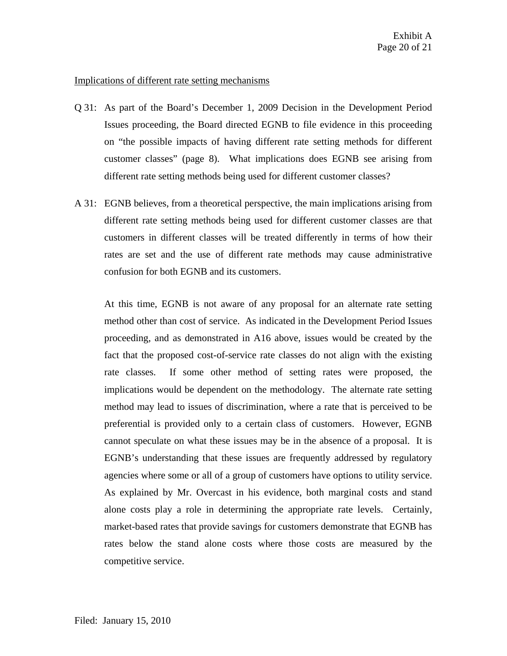## Implications of different rate setting mechanisms

- Q 31: As part of the Board's December 1, 2009 Decision in the Development Period Issues proceeding, the Board directed EGNB to file evidence in this proceeding on "the possible impacts of having different rate setting methods for different customer classes" (page 8). What implications does EGNB see arising from different rate setting methods being used for different customer classes?
- A 31: EGNB believes, from a theoretical perspective, the main implications arising from different rate setting methods being used for different customer classes are that customers in different classes will be treated differently in terms of how their rates are set and the use of different rate methods may cause administrative confusion for both EGNB and its customers.

At this time, EGNB is not aware of any proposal for an alternate rate setting method other than cost of service. As indicated in the Development Period Issues proceeding, and as demonstrated in A16 above, issues would be created by the fact that the proposed cost-of-service rate classes do not align with the existing rate classes. If some other method of setting rates were proposed, the implications would be dependent on the methodology. The alternate rate setting method may lead to issues of discrimination, where a rate that is perceived to be preferential is provided only to a certain class of customers. However, EGNB cannot speculate on what these issues may be in the absence of a proposal. It is EGNB's understanding that these issues are frequently addressed by regulatory agencies where some or all of a group of customers have options to utility service. As explained by Mr. Overcast in his evidence, both marginal costs and stand alone costs play a role in determining the appropriate rate levels. Certainly, market-based rates that provide savings for customers demonstrate that EGNB has rates below the stand alone costs where those costs are measured by the competitive service.